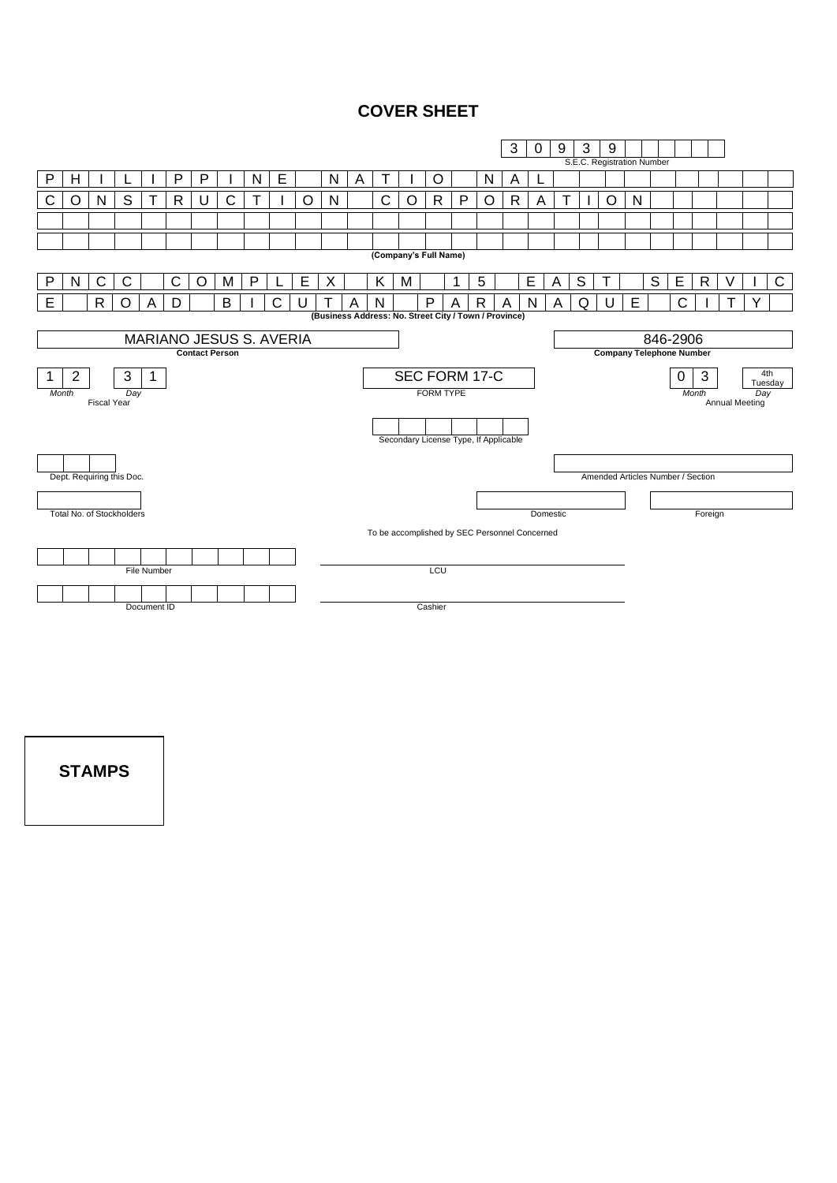### **COVER SHEET**



**STAMPS**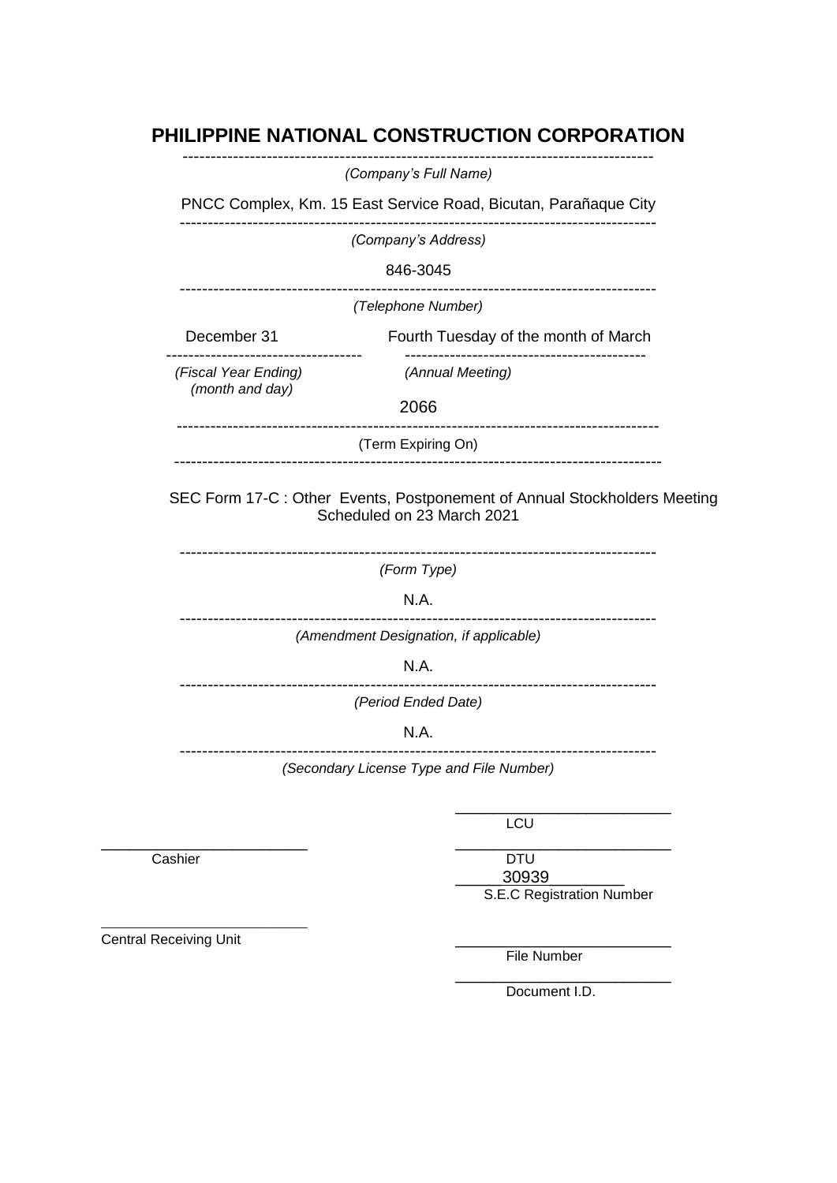# **PHILIPPINE NATIONAL CONSTRUCTION CORPORATION**

|                      | (Company's Full Name)                                                                                   |
|----------------------|---------------------------------------------------------------------------------------------------------|
|                      | PNCC Complex, Km. 15 East Service Road, Bicutan, Parañaque City                                         |
|                      | (Company's Address)                                                                                     |
|                      | 846-3045                                                                                                |
|                      | -------------------------------<br>(Telephone Number)                                                   |
| December 31          | Fourth Tuesday of the month of March                                                                    |
| (Fiscal Year Ending) | (Annual Meeting)                                                                                        |
| (month and day)      | 2066                                                                                                    |
|                      | (Term Expiring On)                                                                                      |
|                      | SEC Form 17-C : Other Events, Postponement of Annual Stockholders Meeting<br>Scheduled on 23 March 2021 |
|                      |                                                                                                         |
|                      | (Form Type)                                                                                             |
|                      | N.A.                                                                                                    |
|                      | (Amendment Designation, if applicable)                                                                  |
|                      | N.A.                                                                                                    |
|                      | (Period Ended Date)                                                                                     |
|                      | N.A.                                                                                                    |
|                      | (Secondary License Type and File Number)                                                                |

\_\_\_\_\_\_\_\_\_\_\_\_\_\_\_\_\_\_\_\_\_\_ \_\_\_\_\_\_\_\_\_\_\_\_\_\_\_\_\_\_\_\_\_\_\_

Cashier DTU \_\_\_\_\_30939\_\_\_\_\_\_\_\_ S.E.C Registration Number

Central Receiving Unit

\_\_\_\_\_\_\_\_\_\_\_\_\_\_\_\_\_\_\_\_\_\_\_\_\_\_\_\_\_\_\_\_\_

File Number

\_\_\_\_\_\_\_\_\_\_\_\_\_\_\_\_\_\_\_\_\_\_\_ Document I.D.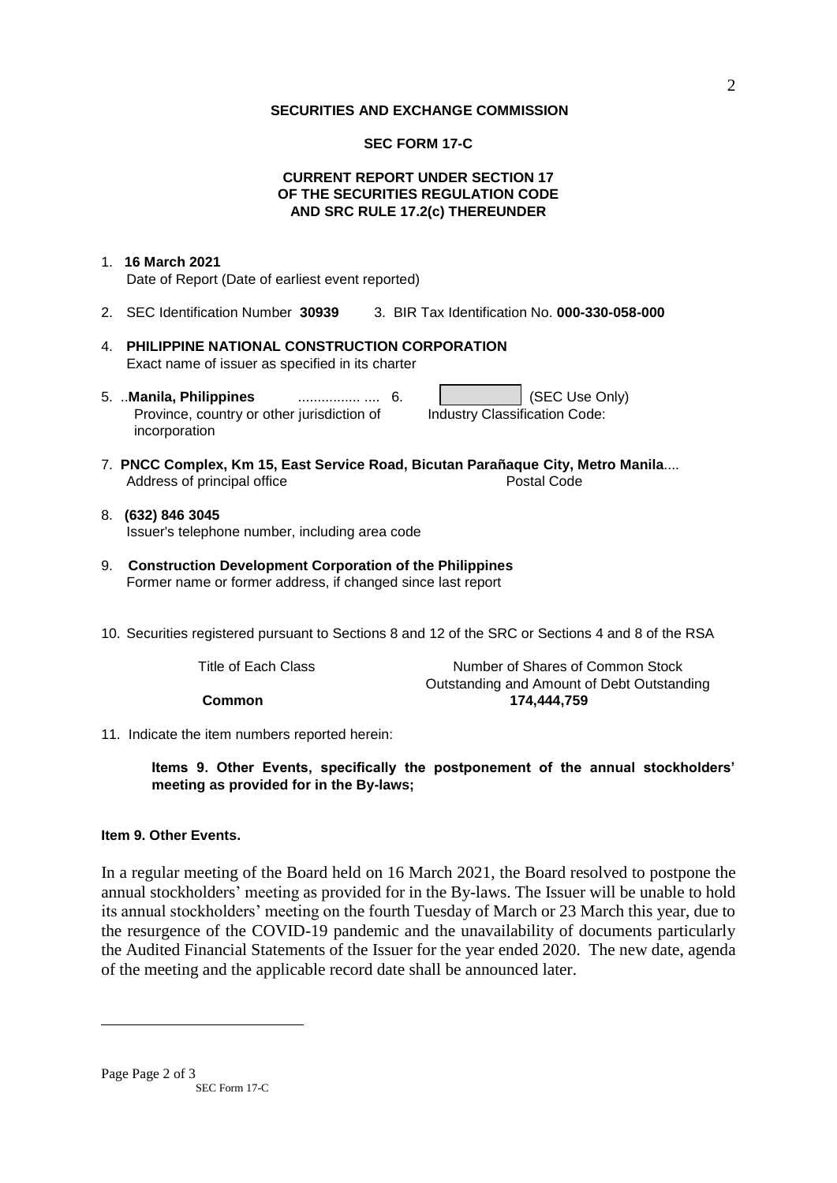#### **SECURITIES AND EXCHANGE COMMISSION**

#### **SEC FORM 17-C**

### **CURRENT REPORT UNDER SECTION 17 OF THE SECURITIES REGULATION CODE AND SRC RULE 17.2(c) THEREUNDER**

### 1. **16 March 2021** Date of Report (Date of earliest event reported)

- 2. SEC Identification Number **30939** 3. BIR Tax Identification No. **000-330-058-000**
- 4. **PHILIPPINE NATIONAL CONSTRUCTION CORPORATION** Exact name of issuer as specified in its charter
- 5. ..**Manila, Philippines** ................ .... 6. (SEC Use Only) Province, country or other jurisdiction of incorporation Industry Classification Code:
- 7. **PNCC Complex, Km 15, East Service Road, Bicutan Parañaque City, Metro Manila**.... Address of principal office **Postal Code** Postal Code
- 8. **(632) 846 3045** Issuer's telephone number, including area code
- 9. **Construction Development Corporation of the Philippines** Former name or former address, if changed since last report
- 10. Securities registered pursuant to Sections 8 and 12 of the SRC or Sections 4 and 8 of the RSA

Title of Each Class The Stock Number of Shares of Common Stock Outstanding and Amount of Debt Outstanding **Common 174,444,759**

11. Indicate the item numbers reported herein:

**Items 9. Other Events, specifically the postponement of the annual stockholders' meeting as provided for in the By-laws;**

### **Item 9. Other Events.**

In a regular meeting of the Board held on 16 March 2021, the Board resolved to postpone the annual stockholders' meeting as provided for in the By-laws. The Issuer will be unable to hold its annual stockholders' meeting on the fourth Tuesday of March or 23 March this year, due to the resurgence of the COVID-19 pandemic and the unavailability of documents particularly the Audited Financial Statements of the Issuer for the year ended 2020. The new date, agenda of the meeting and the applicable record date shall be announced later.

1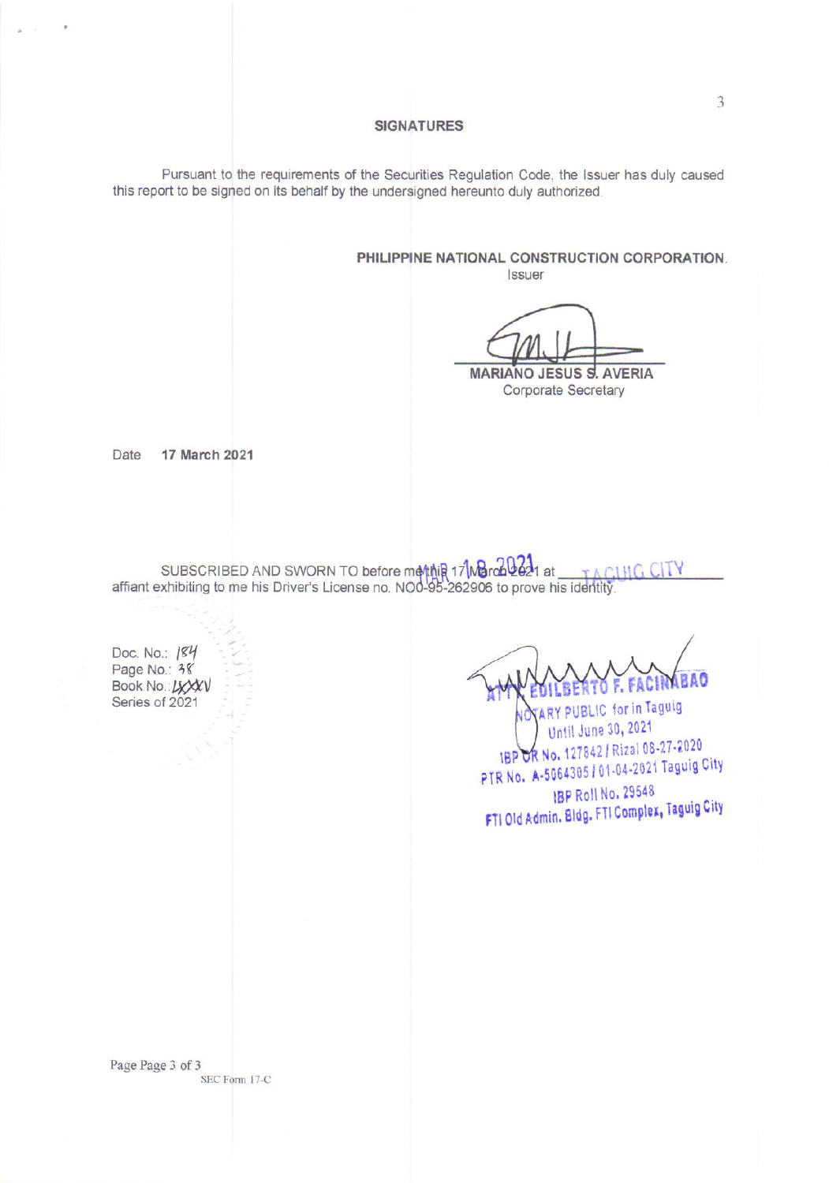#### **SIGNATURES**

Pursuant to the requirements of the Securities Regulation Code, the Issuer has duly caused this report to be signed on its behalf by the undersigned hereunto duly authorized.

> PHILIPPINE NATIONAL CONSTRUCTION CORPORATION. Issuer

**MARIANO JESUS S. AVERIA** 

Corporate Secretary

**17 March 2021** Date

SUBSCRIBED AND SWORN TO before ma/thip 17 March 2621 at TACING C affiant exhibiting to me his Driver's License no. NO0-95-262906 to prove his identity.

Doc. No.: 184 Page No.: 38 Book No.: LXXXV Series of 2021

MEAO

**PUBLIC** for in Taguig Until June 30, 2021 IBP OR No. 127842 / Rizal 08-27-2020 PTR No. A-5064305 / 01-04-2021 Taguig City IBP Roll No. 29548 FTI Old Admin. Bldg. FTI Complex, Taguig City

Page Page 3 of 3 SEC Form 17-C